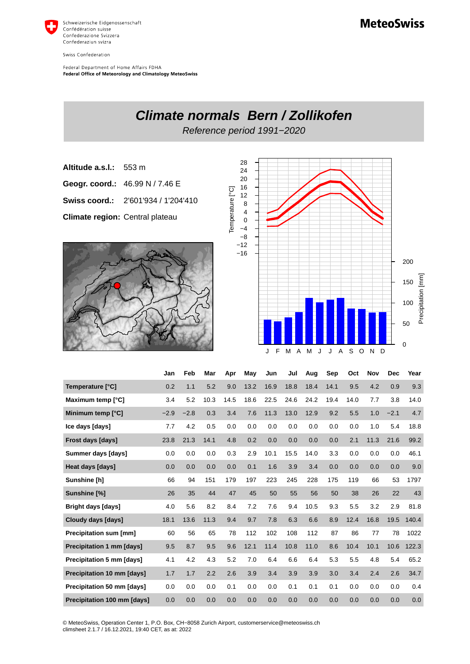

Swiss Confederation

Federal Department of Home Affairs FDHA Federal Office of Meteorology and Climatology MeteoSwiss



|                                   | Jan    | Feb    | Mar  | Apr  | May  | Jun  | Jul  | Aug  | Sep  | Oct  | <b>Nov</b> | <b>Dec</b> | Year  |
|-----------------------------------|--------|--------|------|------|------|------|------|------|------|------|------------|------------|-------|
| Temperature [°C]                  | 0.2    | 1.1    | 5.2  | 9.0  | 13.2 | 16.9 | 18.8 | 18.4 | 14.1 | 9.5  | 4.2        | 0.9        | 9.3   |
| Maximum temp [°C]                 | 3.4    | 5.2    | 10.3 | 14.5 | 18.6 | 22.5 | 24.6 | 24.2 | 19.4 | 14.0 | 7.7        | 3.8        | 14.0  |
| Minimum temp [°C]                 | $-2.9$ | $-2.8$ | 0.3  | 3.4  | 7.6  | 11.3 | 13.0 | 12.9 | 9.2  | 5.5  | 1.0        | $-2.1$     | 4.7   |
| Ice days [days]                   | 7.7    | 4.2    | 0.5  | 0.0  | 0.0  | 0.0  | 0.0  | 0.0  | 0.0  | 0.0  | 1.0        | 5.4        | 18.8  |
| Frost days [days]                 | 23.8   | 21.3   | 14.1 | 4.8  | 0.2  | 0.0  | 0.0  | 0.0  | 0.0  | 2.1  | 11.3       | 21.6       | 99.2  |
| Summer days [days]                | 0.0    | 0.0    | 0.0  | 0.3  | 2.9  | 10.1 | 15.5 | 14.0 | 3.3  | 0.0  | 0.0        | 0.0        | 46.1  |
| Heat days [days]                  | 0.0    | 0.0    | 0.0  | 0.0  | 0.1  | 1.6  | 3.9  | 3.4  | 0.0  | 0.0  | 0.0        | 0.0        | 9.0   |
| Sunshine [h]                      | 66     | 94     | 151  | 179  | 197  | 223  | 245  | 228  | 175  | 119  | 66         | 53         | 1797  |
| Sunshine [%]                      | 26     | 35     | 44   | 47   | 45   | 50   | 55   | 56   | 50   | 38   | 26         | 22         | 43    |
| <b>Bright days [days]</b>         | 4.0    | 5.6    | 8.2  | 8.4  | 7.2  | 7.6  | 9.4  | 10.5 | 9.3  | 5.5  | 3.2        | 2.9        | 81.8  |
| Cloudy days [days]                | 18.1   | 13.6   | 11.3 | 9.4  | 9.7  | 7.8  | 6.3  | 6.6  | 8.9  | 12.4 | 16.8       | 19.5       | 140.4 |
| <b>Precipitation sum [mm]</b>     | 60     | 56     | 65   | 78   | 112  | 102  | 108  | 112  | 87   | 86   | 77         | 78         | 1022  |
| Precipitation 1 mm [days]         | 9.5    | 8.7    | 9.5  | 9.6  | 12.1 | 11.4 | 10.8 | 11.0 | 8.6  | 10.4 | 10.1       | 10.6       | 122.3 |
| <b>Precipitation 5 mm [days]</b>  | 4.1    | 4.2    | 4.3  | 5.2  | 7.0  | 6.4  | 6.6  | 6.4  | 5.3  | 5.5  | 4.8        | 5.4        | 65.2  |
| <b>Precipitation 10 mm [days]</b> | 1.7    | 1.7    | 2.2  | 2.6  | 3.9  | 3.4  | 3.9  | 3.9  | 3.0  | 3.4  | 2.4        | 2.6        | 34.7  |
| Precipitation 50 mm [days]        | 0.0    | 0.0    | 0.0  | 0.1  | 0.0  | 0.0  | 0.1  | 0.1  | 0.1  | 0.0  | 0.0        | 0.0        | 0.4   |
| Precipitation 100 mm [days]       | 0.0    | 0.0    | 0.0  | 0.0  | 0.0  | 0.0  | 0.0  | 0.0  | 0.0  | 0.0  | 0.0        | 0.0        | 0.0   |

© MeteoSwiss, Operation Center 1, P.O. Box, CH-8058 Zurich Airport, customerservice@meteoswiss.ch<br>climsheet 2.1.7 / 16.12.2021, 19:40 CET, as at: 2022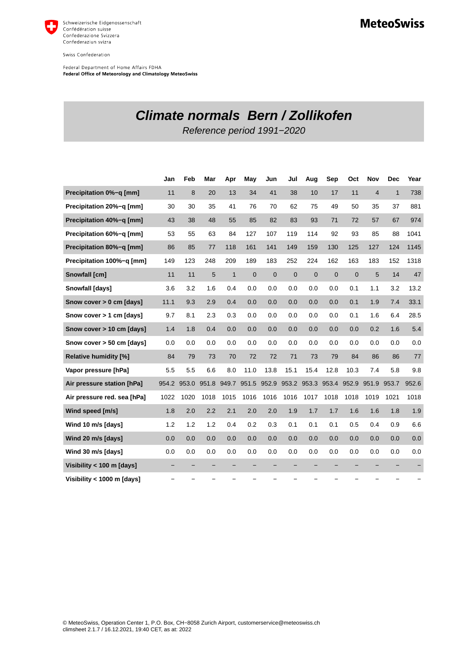

Swiss Confederation

Federal Department of Home Affairs FDHA Federal Office of Meteorology and Climatology MeteoSwiss

## **Climate normals Bern / Zollikofen**

Reference period 1991−2020

|                              | Jan   | Feb   | Mar   | Apr          | May            | Jun            | Jul         | Aug            | Sep            | Oct          | <b>Nov</b>     | <b>Dec</b>   | Year  |
|------------------------------|-------|-------|-------|--------------|----------------|----------------|-------------|----------------|----------------|--------------|----------------|--------------|-------|
| Precipitation 0%-g [mm]      | 11    | 8     | 20    | 13           | 34             | 41             | 38          | 10             | 17             | 11           | $\overline{4}$ | $\mathbf{1}$ | 738   |
| Precipitation 20%-q [mm]     | 30    | 30    | 35    | 41           | 76             | 70             | 62          | 75             | 49             | 50           | 35             | 37           | 881   |
| Precipitation 40%-g [mm]     | 43    | 38    | 48    | 55           | 85             | 82             | 83          | 93             | 71             | 72           | 57             | 67           | 974   |
| Precipitation 60%-q [mm]     | 53    | 55    | 63    | 84           | 127            | 107            | 119         | 114            | 92             | 93           | 85             | 88           | 1041  |
| Precipitation 80%-q [mm]     | 86    | 85    | 77    | 118          | 161            | 141            | 149         | 159            | 130            | 125          | 127            | 124          | 1145  |
| Precipitation 100%-g [mm]    | 149   | 123   | 248   | 209          | 189            | 183            | 252         | 224            | 162            | 163          | 183            | 152          | 1318  |
| <b>Snowfall [cm]</b>         | 11    | 11    | 5     | $\mathbf{1}$ | $\overline{0}$ | $\overline{0}$ | $\mathbf 0$ | $\overline{0}$ | $\overline{0}$ | $\mathbf{0}$ | 5              | 14           | 47    |
| Snowfall [days]              | 3.6   | 3.2   | 1.6   | 0.4          | 0.0            | 0.0            | 0.0         | 0.0            | 0.0            | 0.1          | 1.1            | 3.2          | 13.2  |
| Snow cover > 0 cm [days]     | 11.1  | 9.3   | 2.9   | 0.4          | 0.0            | 0.0            | 0.0         | 0.0            | 0.0            | 0.1          | 1.9            | 7.4          | 33.1  |
| Snow cover > 1 cm [days]     | 9.7   | 8.1   | 2.3   | 0.3          | 0.0            | 0.0            | 0.0         | 0.0            | 0.0            | 0.1          | 1.6            | 6.4          | 28.5  |
| Snow cover > 10 cm [days]    | 1.4   | 1.8   | 0.4   | 0.0          | 0.0            | 0.0            | 0.0         | 0.0            | 0.0            | 0.0          | 0.2            | 1.6          | 5.4   |
| Snow cover > 50 cm [days]    | 0.0   | 0.0   | 0.0   | 0.0          | 0.0            | 0.0            | 0.0         | 0.0            | 0.0            | 0.0          | 0.0            | 0.0          | 0.0   |
| <b>Relative humidity [%]</b> | 84    | 79    | 73    | 70           | 72             | 72             | 71          | 73             | 79             | 84           | 86             | 86           | 77    |
| Vapor pressure [hPa]         | 5.5   | 5.5   | 6.6   | 8.0          | 11.0           | 13.8           | 15.1        | 15.4           | 12.8           | 10.3         | 7.4            | 5.8          | 9.8   |
| Air pressure station [hPa]   | 954.2 | 953.0 | 951.8 | 949.7        | 951.5          | 952.9          | 953.2       | 953.3          | 953.4          | 952.9        | 951.9          | 953.7        | 952.6 |
| Air pressure red. sea [hPa]  | 1022  | 1020  | 1018  | 1015         | 1016           | 1016           | 1016        | 1017           | 1018           | 1018         | 1019           | 1021         | 1018  |
| Wind speed [m/s]             | 1.8   | 2.0   | 2.2   | 2.1          | 2.0            | 2.0            | 1.9         | 1.7            | 1.7            | 1.6          | 1.6            | 1.8          | 1.9   |
| Wind 10 m/s [days]           | 1.2   | 1.2   | 1.2   | 0.4          | 0.2            | 0.3            | 0.1         | 0.1            | 0.1            | 0.5          | 0.4            | 0.9          | 6.6   |
| Wind 20 m/s [days]           | 0.0   | 0.0   | 0.0   | 0.0          | 0.0            | 0.0            | 0.0         | 0.0            | 0.0            | 0.0          | 0.0            | 0.0          | 0.0   |
| Wind 30 m/s [days]           | 0.0   | 0.0   | 0.0   | 0.0          | 0.0            | 0.0            | 0.0         | 0.0            | 0.0            | 0.0          | 0.0            | 0.0          | 0.0   |
| Visibility < 100 m [days]    |       |       |       | -            |                |                |             | -              |                |              |                |              |       |
| Visibility < 1000 m [days]   |       |       |       |              |                |                |             |                |                |              |                |              |       |